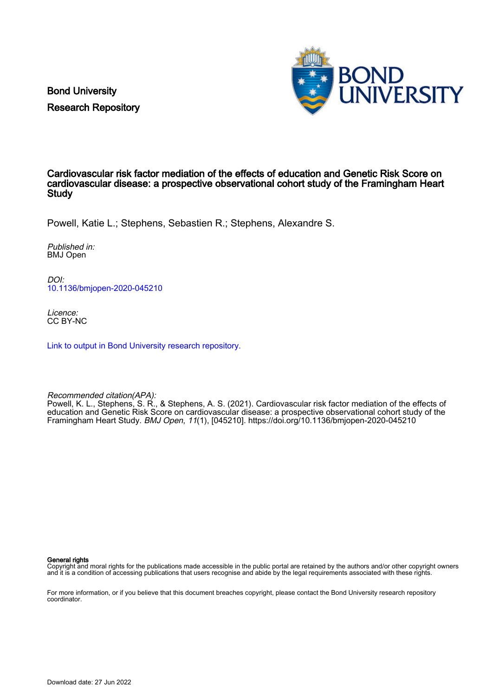Bond University Research Repository



# Cardiovascular risk factor mediation of the effects of education and Genetic Risk Score on cardiovascular disease: a prospective observational cohort study of the Framingham Heart **Study**

Powell, Katie L.; Stephens, Sebastien R.; Stephens, Alexandre S.

Published in: BMJ Open

DOI: [10.1136/bmjopen-2020-045210](https://doi.org/10.1136/bmjopen-2020-045210)

Licence: CC BY-NC

[Link to output in Bond University research repository.](https://research.bond.edu.au/en/publications/9f9dd4aa-8a83-4a39-9b60-e2c9de772ddf)

Recommended citation(APA):

Powell, K. L., Stephens, S. R., & Stephens, A. S. (2021). Cardiovascular risk factor mediation of the effects of education and Genetic Risk Score on cardiovascular disease: a prospective observational cohort study of the Framingham Heart Study. BMJ Open, 11(1), [045210].<https://doi.org/10.1136/bmjopen-2020-045210>

General rights

Copyright and moral rights for the publications made accessible in the public portal are retained by the authors and/or other copyright owners and it is a condition of accessing publications that users recognise and abide by the legal requirements associated with these rights.

For more information, or if you believe that this document breaches copyright, please contact the Bond University research repository coordinator.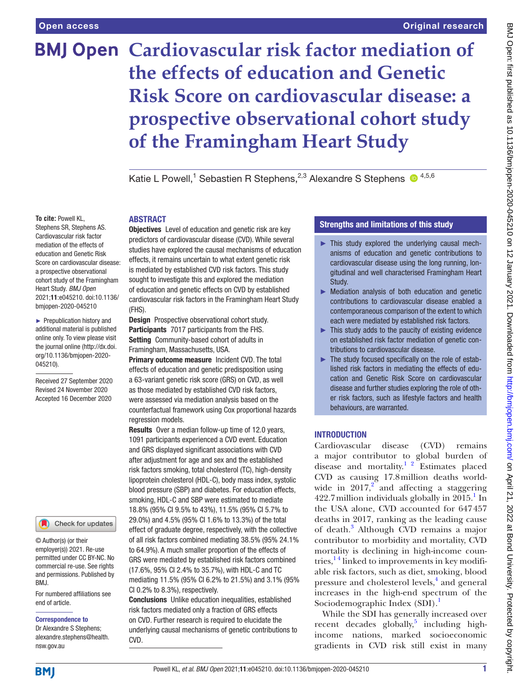# **BMJ Open Cardiovascular risk factor mediation of the effects of education and Genetic Risk Score on cardiovascular disease: a prospective observational cohort study of the Framingham Heart Study**

Katie L Powell,<sup>1</sup> Sebastien R Stephens,<sup>2,3</sup> Alexandre S Stephens  $\bullet^{4,5,6}$ 

# **To cite:** Powell KL,

Stephens SR, Stephens AS. Cardiovascular risk factor mediation of the effects of education and Genetic Risk Score on cardiovascular disease: a prospective observational cohort study of the Framingham Heart Study. *BMJ Open* 2021;11:e045210. doi:10.1136/ bmjopen-2020-045210

► Prepublication history and additional material is published online only. To view please visit the journal online (http://dx.doi. org/10.1136/bmjopen-2020- 045210).

Received 27 September 2020 Revised 24 November 2020 Accepted 16 December 2020

Check for updates

© Author(s) (or their employer(s)) 2021. Re-use permitted under CC BY-NC. No commercial re-use. See rights and permissions. Published by BMJ.

For numbered affiliations see end of article.

#### Correspondence to

Dr Alexandre S Stephens; alexandre.stephens@health. nsw.gov.au

**Objectives** Level of education and genetic risk are key predictors of cardiovascular disease (CVD). While several studies have explored the causal mechanisms of education effects, it remains uncertain to what extent genetic risk is mediated by established CVD risk factors. This study sought to investigate this and explored the mediation of education and genetic effects on CVD by established cardiovascular risk factors in the Framingham Heart Study (FHS).

Design Prospective observational cohort study. Participants 7017 participants from the FHS. Setting Community-based cohort of adults in Framingham, Massachusetts, USA.

**ARSTRACT** 

**Primary outcome measure Incident CVD. The total** effects of education and genetic predisposition using a 63-variant genetic risk score (GRS) on CVD, as well as those mediated by established CVD risk factors, were assessed via mediation analysis based on the counterfactual framework using Cox proportional hazards regression models.

Results Over a median follow-up time of 12.0 years, 1091 participants experienced a CVD event. Education and GRS displayed significant associations with CVD after adjustment for age and sex and the established risk factors smoking, total cholesterol (TC), high-density lipoprotein cholesterol (HDL-C), body mass index, systolic blood pressure (SBP) and diabetes. For education effects, smoking, HDL-C and SBP were estimated to mediate 18.8% (95% CI 9.5% to 43%), 11.5% (95% CI 5.7% to 29.0%) and 4.5% (95% CI 1.6% to 13.3%) of the total effect of graduate degree, respectively, with the collective of all risk factors combined mediating 38.5% (95% 24.1% to 64.9%). A much smaller proportion of the effects of GRS were mediated by established risk factors combined (17.6%, 95% CI 2.4% to 35.7%), with HDL-C and TC mediating 11.5% (95% CI 6.2% to 21.5%) and 3.1% (95% CI 0.2% to 8.3%), respectively.

Conclusions Unlike education inequalities, established risk factors mediated only a fraction of GRS effects on CVD. Further research is required to elucidate the underlying causal mechanisms of genetic contributions to CVD.

# Strengths and limitations of this study

- $\blacktriangleright$  This study explored the underlying causal mechanisms of education and genetic contributions to cardiovascular disease using the long running, longitudinal and well characterised Framingham Heart Study.
- ► Mediation analysis of both education and genetic contributions to cardiovascular disease enabled a contemporaneous comparison of the extent to which each were mediated by established risk factors.
- ► This study adds to the paucity of existing evidence on established risk factor mediation of genetic contributions to cardiovascular disease.
- ► The study focused specifically on the role of established risk factors in mediating the effects of education and Genetic Risk Score on cardiovascular disease and further studies exploring the role of other risk factors, such as lifestyle factors and health behaviours, are warranted.

# **INTRODUCTION**

Cardiovascular disease (CVD) remains a major contributor to global burden of disease and mortality. $12 \text{°}$  Estimates placed CVD as causing 17.8million deaths worldwide in  $2017$  $2017$ ,<sup>2</sup> and affecting a staggering  $422.7$  million individuals globally in  $2015.<sup>1</sup>$  $2015.<sup>1</sup>$  $2015.<sup>1</sup>$  In the USA alone, CVD accounted for 647457 deaths in 2017, ranking as the leading cause of death.<sup>[3](#page-9-2)</sup> Although CVD remains a major contributor to morbidity and mortality, CVD mortality is declining in high-income countries, $14$  linked to improvements in key modifiable risk factors, such as diet, smoking, blood pressure and cholesterol levels,<sup>[4](#page-9-3)</sup> and general increases in the high-end spectrum of the Sociodemographic Index (SDI).<sup>[1](#page-9-0)</sup>

While the SDI has generally increased over recent decades globally, $5$  including highincome nations, marked socioeconomic gradients in CVD risk still exist in many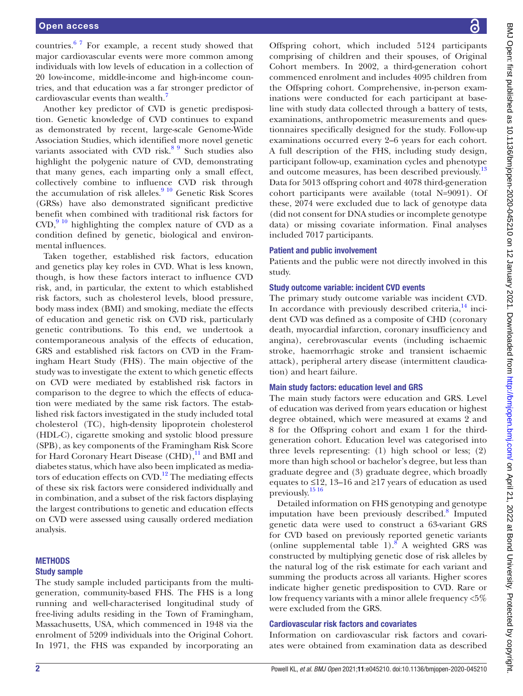## Open access

countries.<sup>6 7</sup> For example, a recent study showed that major cardiovascular events were more common among individuals with low levels of education in a collection of 20 low-income, middle-income and high-income countries, and that education was a far stronger predictor of cardiovascular events than wealth.<sup>7</sup>

Another key predictor of CVD is genetic predisposition. Genetic knowledge of CVD continues to expand as demonstrated by recent, large-scale Genome-Wide Association Studies, which identified more novel genetic variants associated with CVD risk. $89$  Such studies also highlight the polygenic nature of CVD, demonstrating that many genes, each imparting only a small effect, collectively combine to influence CVD risk through the accumulation of risk alleles.<sup>[9 10](#page-9-8)</sup> Genetic Risk Scores (GRSs) have also demonstrated significant predictive benefit when combined with traditional risk factors for  $CVD$ ,  $9^{10}$  highlighting the complex nature of CVD as a condition defined by genetic, biological and environmental influences.

Taken together, established risk factors, education and genetics play key roles in CVD. What is less known, though, is how these factors interact to influence CVD risk, and, in particular, the extent to which established risk factors, such as cholesterol levels, blood pressure, body mass index (BMI) and smoking, mediate the effects of education and genetic risk on CVD risk, particularly genetic contributions. To this end, we undertook a contemporaneous analysis of the effects of education, GRS and established risk factors on CVD in the Framingham Heart Study (FHS). The main objective of the study was to investigate the extent to which genetic effects on CVD were mediated by established risk factors in comparison to the degree to which the effects of education were mediated by the same risk factors. The established risk factors investigated in the study included total cholesterol (TC), high-density lipoprotein cholesterol (HDL-C), cigarette smoking and systolic blood pressure (SPB), as key components of the Framingham Risk Score for Hard Coronary Heart Disease  $\text{(CHD)}$ ,<sup>11</sup> and BMI and diabetes status, which have also been implicated as mediators of education effects on  $CVD$ .<sup>12</sup> The mediating effects of these six risk factors were considered individually and in combination, and a subset of the risk factors displaying the largest contributions to genetic and education effects on CVD were assessed using causally ordered mediation analysis.

## **METHODS** Study sample

The study sample included participants from the multigeneration, community-based FHS. The FHS is a long running and well-characterised longitudinal study of free-living adults residing in the Town of Framingham, Massachusetts, USA, which commenced in 1948 via the enrolment of 5209 individuals into the Original Cohort. In 1971, the FHS was expanded by incorporating an

Offspring cohort, which included 5124 participants comprising of children and their spouses, of Original Cohort members. In 2002, a third-generation cohort commenced enrolment and includes 4095 children from the Offspring cohort. Comprehensive, in-person examinations were conducted for each participant at baseline with study data collected through a battery of tests, examinations, anthropometric measurements and questionnaires specifically designed for the study. Follow-up examinations occurred every 2–6 years for each cohort. A full description of the FHS, including study design, participant follow-up, examination cycles and phenotype and outcome measures, has been described previously.<sup>[13](#page-9-11)</sup> Data for 5013 offspring cohort and 4078 third-generation cohort participants were available (total N=9091). Of these, 2074 were excluded due to lack of genotype data (did not consent for DNA studies or incomplete genotype data) or missing covariate information. Final analyses included 7017 participants.

## Patient and public involvement

Patients and the public were not directly involved in this study.

#### Study outcome variable: incident CVD events

The primary study outcome variable was incident CVD. In accordance with previously described criteria, $14$  incident CVD was defined as a composite of CHD (coronary death, myocardial infarction, coronary insufficiency and angina), cerebrovascular events (including ischaemic stroke, haemorrhagic stroke and transient ischaemic attack), peripheral artery disease (intermittent claudication) and heart failure.

## Main study factors: education level and GRS

The main study factors were education and GRS. Level of education was derived from years education or highest degree obtained, which were measured at exams 2 and 8 for the Offspring cohort and exam 1 for the thirdgeneration cohort. Education level was categorised into three levels representing: (1) high school or less; (2) more than high school or bachelor's degree, but less than graduate degree and (3) graduate degree, which broadly equates to ≤12, 13–16 and ≥17 years of education as used previously.[15 16](#page-9-13)

Detailed information on FHS genotyping and genotype imputation have been previously described.<sup>[8](#page-9-7)</sup> Imputed genetic data were used to construct a 63-variant GRS for CVD based on previously reported genetic variants (online supplemental table  $1$ ).<sup>8</sup> A weighted GRS was constructed by multiplying genetic dose of risk alleles by the natural log of the risk estimate for each variant and summing the products across all variants. Higher scores indicate higher genetic predisposition to CVD. Rare or low frequency variants with a minor allele frequency <5% were excluded from the GRS.

## Cardiovascular risk factors and covariates

Information on cardiovascular risk factors and covariates were obtained from examination data as described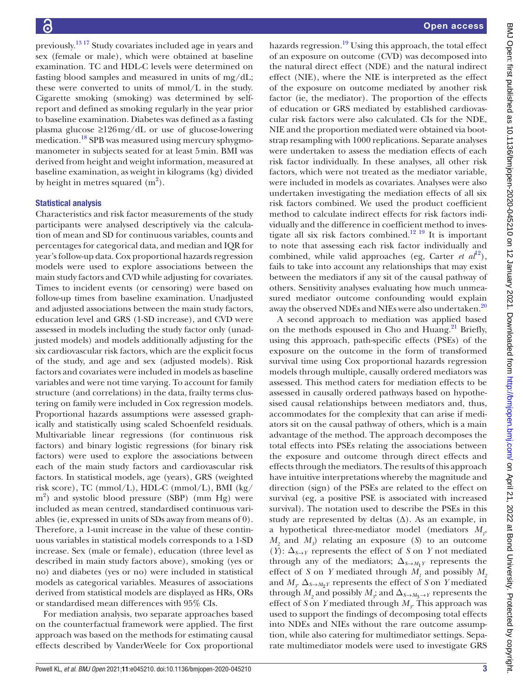previously[.13 17](#page-9-11) Study covariates included age in years and sex (female or male), which were obtained at baseline examination. TC and HDL-C levels were determined on fasting blood samples and measured in units of mg/dL; these were converted to units of mmol/L in the study. Cigarette smoking (smoking) was determined by selfreport and defined as smoking regularly in the year prior to baseline examination. Diabetes was defined as a fasting plasma glucose ≥126mg/dL or use of glucose-lowering medication.<sup>[18](#page-9-14)</sup> SPB was measured using mercury sphygmomanometer in subjects seated for at least 5min. BMI was derived from height and weight information, measured at baseline examination, as weight in kilograms (kg) divided by height in metres squared  $(m<sup>2</sup>)$ .

## Statistical analysis

Characteristics and risk factor measurements of the study participants were analysed descriptively via the calculation of mean and SD for continuous variables, counts and percentages for categorical data, and median and IQR for year's follow-up data. Cox proportional hazards regression models were used to explore associations between the main study factors and CVD while adjusting for covariates. Times to incident events (or censoring) were based on follow-up times from baseline examination. Unadjusted and adjusted associations between the main study factors, education level and GRS (1-SD increase), and CVD were assessed in models including the study factor only (unadjusted models) and models additionally adjusting for the six cardiovascular risk factors, which are the explicit focus of the study, and age and sex (adjusted models). Risk factors and covariates were included in models as baseline variables and were not time varying. To account for family structure (and correlations) in the data, frailty terms clustering on family were included in Cox regression models. Proportional hazards assumptions were assessed graphically and statistically using scaled Schoenfeld residuals. Multivariable linear regressions (for continuous risk factors) and binary logistic regressions (for binary risk factors) were used to explore the associations between each of the main study factors and cardiovascular risk factors. In statistical models, age (years), GRS (weighted risk score), TC (mmol/L), HDL-C (mmol/L), BMI (kg/ m<sup>2</sup> ) and systolic blood pressure (SBP) (mm Hg) were included as mean centred, standardised continuous variables (ie, expressed in units of SDs away from means of 0). Therefore, a 1-unit increase in the value of these continuous variables in statistical models corresponds to a 1-SD increase. Sex (male or female), education (three level as described in main study factors above), smoking (yes or no) and diabetes (yes or no) were included in statistical models as categorical variables. Measures of associations derived from statistical models are displayed as HRs, ORs or standardised mean differences with 95% CIs.

For mediation analysis, two separate approaches based on the counterfactual framework were applied. The first approach was based on the methods for estimating causal effects described by VanderWeele for Cox proportional

hazards regression.<sup>19</sup> Using this approach, the total effect of an exposure on outcome (CVD) was decomposed into the natural direct effect (NDE) and the natural indirect effect (NIE), where the NIE is interpreted as the effect of the exposure on outcome mediated by another risk factor (ie, the mediator). The proportion of the effects of education or GRS mediated by established cardiovascular risk factors were also calculated. CIs for the NDE, NIE and the proportion mediated were obtained via bootstrap resampling with 1000 replications. Separate analyses were undertaken to assess the mediation effects of each risk factor individually. In these analyses, all other risk factors, which were not treated as the mediator variable, were included in models as covariates. Analyses were also undertaken investigating the mediation effects of all six risk factors combined. We used the product coefficient method to calculate indirect effects for risk factors individually and the difference in coefficient method to investigate all six risk factors combined.<sup>12 19</sup> It is important to note that assessing each risk factor individually and combined, while valid approaches (eg, Carter *et al*<sup>12</sup>), fails to take into account any relationships that may exist between the mediators if any sit of the causal pathway of others. Sensitivity analyses evaluating how much unmeasured mediator outcome confounding would explain away the observed NDEs and NIEs were also undertaken.<sup>[20](#page-10-1)</sup>

A second approach to mediation was applied based on the methods espoused in Cho and Huang.<sup>21</sup> Briefly, using this approach, path-specific effects (PSEs) of the exposure on the outcome in the form of transformed survival time using Cox proportional hazards regression models through multiple, causally ordered mediators was assessed. This method caters for mediation effects to be assessed in causally ordered pathways based on hypothesised causal relationships between mediators and, thus, accommodates for the complexity that can arise if mediators sit on the causal pathway of others, which is a main advantage of the method. The approach decomposes the total effects into PSEs relating the associations between the exposure and outcome through direct effects and effects through the mediators. The results of this approach have intuitive interpretations whereby the magnitude and direction (sign) of the PSEs are related to the effect on survival (eg, a positive PSE is associated with increased survival). The notation used to describe the PSEs in this study are represented by deltas  $(\Delta)$ . As an example, in a hypothetical three-mediator model (mediators  $M_p$ , *M2* and *M3* ) relating an exposure (*S*) to an outcome (*Y*):  $\Delta_{S\rightarrow Y}$  represents the effect of *S* on *Y* not mediated through any of the mediators;  $\Delta_{S \rightarrow M_1Y}$  represents the effect of *S* on *Y* mediated through  $M_1$  and possibly  $M_2$ and  $M_{\rm z}$ ,  $\Delta_{\rm S \rightarrow M_2 Y}$  represents the effect of *S* on *Y* mediated through  $M_2$  and possibly  $M_3$ ; and  $\Delta_{S \to M_3 \to Y}$  represents the effect of *S* on *Y* mediated through  $M<sub>j</sub>$ . This approach was used to support the findings of decomposing total effects into NDEs and NIEs without the rare outcome assumption, while also catering for multimediator settings. Separate multimediator models were used to investigate GRS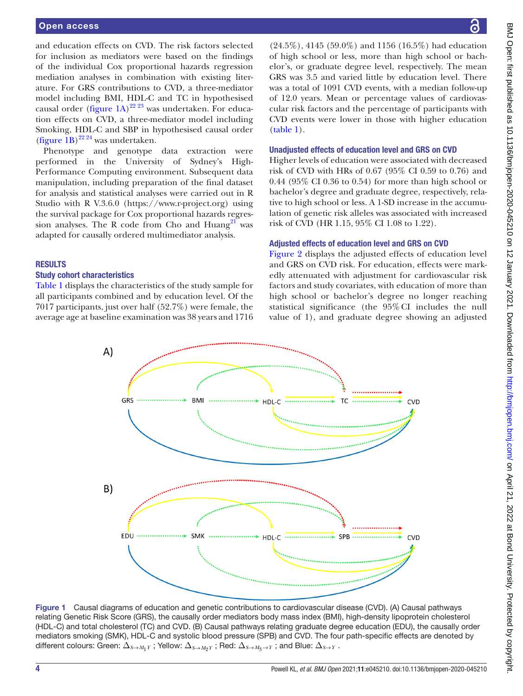and education effects on CVD. The risk factors selected for inclusion as mediators were based on the findings of the individual Cox proportional hazards regression mediation analyses in combination with existing literature. For GRS contributions to CVD, a three-mediator model including BMI, HDL-C and TC in hypothesised causal order [\(figure](#page-4-0) 1A)<sup>22 23</sup> was undertaken. For education effects on CVD, a three-mediator model including Smoking, HDL-C and SBP in hypothesised causal order ([figure](#page-4-0) 1B) [22 24](#page-10-3) was undertaken.

Phenotype and genotype data extraction were performed in the University of Sydney's High-Performance Computing environment. Subsequent data manipulation, including preparation of the final dataset for analysis and statistical analyses were carried out in R Studio with R V.3.6.0 (<https://www.r-project.org>) using the survival package for Cox proportional hazards regression analyses. The R code from Cho and Huang<sup>21</sup> was adapted for causally ordered multimediator analysis.

## RESULTS

## Study cohort characteristics

[Table](#page-5-0) 1 displays the characteristics of the study sample for all participants combined and by education level. Of the 7017 participants, just over half (52.7%) were female, the average age at baseline examination was 38 years and 1716

(24.5%), 4145 (59.0%) and 1156 (16.5%) had education of high school or less, more than high school or bachelor's, or graduate degree level, respectively. The mean GRS was 3.5 and varied little by education level. There was a total of 1091 CVD events, with a median follow-up of 12.0 years. Mean or percentage values of cardiovascular risk factors and the percentage of participants with CVD events were lower in those with higher education [\(table](#page-5-0) 1).

### Unadjusted effects of education level and GRS on CVD

Higher levels of education were associated with decreased risk of CVD with HRs of 0.67 (95% CI 0.59 to 0.76) and 0.44 (95% CI 0.36 to 0.54) for more than high school or bachelor's degree and graduate degree, respectively, relative to high school or less. A 1-SD increase in the accumulation of genetic risk alleles was associated with increased risk of CVD (HR 1.15, 95% CI 1.08 to 1.22).

#### Adjusted effects of education level and GRS on CVD

[Figure](#page-5-1) 2 displays the adjusted effects of education level and GRS on CVD risk. For education, effects were markedly attenuated with adjustment for cardiovascular risk factors and study covariates, with education of more than high school or bachelor's degree no longer reaching statistical significance (the 95%CI includes the null value of 1), and graduate degree showing an adjusted



<span id="page-4-0"></span>Figure 1 Causal diagrams of education and genetic contributions to cardiovascular disease (CVD). (A) Causal pathways relating Genetic Risk Score (GRS), the causally order mediators body mass index (BMI), high-density lipoprotein cholesterol (HDL-C) and total cholesterol (TC) and CVD. (B) Causal pathways relating graduate degree education (EDU), the causally order mediators smoking (SMK), HDL-C and systolic blood pressure (SPB) and CVD. The four path-specific effects are denoted by different colours: Green:  $\Delta_{S\to M_1Y}$ ; Yellow:  $\Delta_{S\to M_2Y}$ ; Red:  $\Delta_{S\to M_3\to Y}$ ; and Blue:  $\Delta_{S\to Y}$ .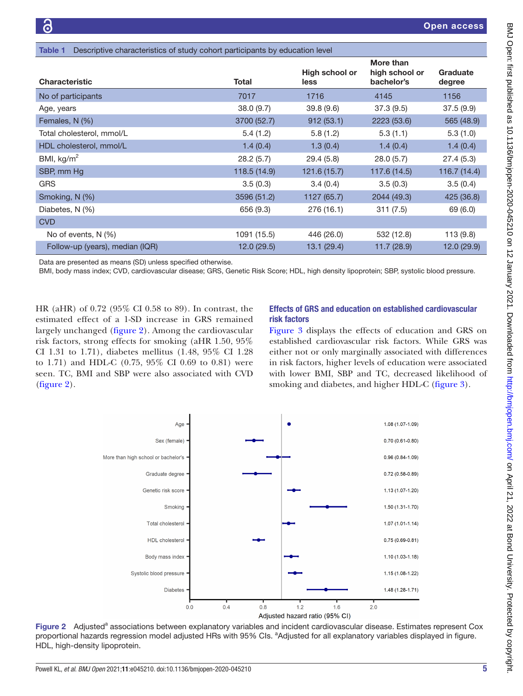<span id="page-5-0"></span>

| Descriptive characteristics of study cohort participants by education level<br>Table 1 |              |                        |                                           |                    |  |  |  |
|----------------------------------------------------------------------------------------|--------------|------------------------|-------------------------------------------|--------------------|--|--|--|
| <b>Characteristic</b>                                                                  | Total        | High school or<br>less | More than<br>high school or<br>bachelor's | Graduate<br>degree |  |  |  |
| No of participants                                                                     | 7017         | 1716                   | 4145                                      | 1156               |  |  |  |
| Age, years                                                                             | 38.0(9.7)    | 39.8(9.6)              | 37.3(9.5)                                 | 37.5(9.9)          |  |  |  |
| Females, N (%)                                                                         | 3700 (52.7)  | 912(53.1)              | 2223 (53.6)                               | 565 (48.9)         |  |  |  |
| Total cholesterol, mmol/L                                                              | 5.4(1.2)     | 5.8(1.2)               | 5.3(1.1)                                  | 5.3(1.0)           |  |  |  |
| HDL cholesterol, mmol/L                                                                | 1.4(0.4)     | 1.3(0.4)               | 1.4(0.4)                                  | 1.4(0.4)           |  |  |  |
| BMI, $kg/m2$                                                                           | 28.2(5.7)    | 29.4(5.8)              | 28.0(5.7)                                 | 27.4(5.3)          |  |  |  |
| SBP, mm Hg                                                                             | 118.5 (14.9) | 121.6 (15.7)           | 117.6 (14.5)                              | 116.7 (14.4)       |  |  |  |
| <b>GRS</b>                                                                             | 3.5(0.3)     | 3.4(0.4)               | 3.5(0.3)                                  | 3.5(0.4)           |  |  |  |
| Smoking, N (%)                                                                         | 3596 (51.2)  | 1127 (65.7)            | 2044 (49.3)                               | 425 (36.8)         |  |  |  |
| Diabetes, N (%)                                                                        | 656 (9.3)    | 276 (16.1)             | 311(7.5)                                  | 69 (6.0)           |  |  |  |
| <b>CVD</b>                                                                             |              |                        |                                           |                    |  |  |  |
| No of events, N (%)                                                                    | 1091 (15.5)  | 446 (26.0)             | 532 (12.8)                                | 113 (9.8)          |  |  |  |
| Follow-up (years), median (IQR)                                                        | 12.0(29.5)   | 13.1 (29.4)            | 11.7(28.9)                                | 12.0(29.9)         |  |  |  |

Data are presented as means (SD) unless specified otherwise.

BMI, body mass index; CVD, cardiovascular disease; GRS, Genetic Risk Score; HDL, high density lipoprotein; SBP, systolic blood pressure.

HR (aHR) of 0.72 (95% CI 0.58 to 89). In contrast, the estimated effect of a 1-SD increase in GRS remained largely unchanged [\(figure](#page-5-1) 2). Among the cardiovascular risk factors, strong effects for smoking (aHR 1.50, 95% CI 1.31 to 1.71), diabetes mellitus (1.48, 95% CI 1.28 to 1.71) and HDL-C (0.75, 95% CI 0.69 to 0.81) were seen. TC, BMI and SBP were also associated with CVD ([figure](#page-5-1) 2).

# Effects of GRS and education on established cardiovascular risk factors

[Figure](#page-6-0) 3 displays the effects of education and GRS on established cardiovascular risk factors. While GRS was either not or only marginally associated with differences in risk factors, higher levels of education were associated with lower BMI, SBP and TC, decreased likelihood of smoking and diabetes, and higher HDL-C [\(figure](#page-6-0) 3).



<span id="page-5-1"></span>Figure 2 Adjusted<sup>a</sup> associations between explanatory variables and incident cardiovascular disease. Estimates represent Cox proportional hazards regression model adjusted HRs with 95% Cls. <sup>a</sup>Adjusted for all explanatory variables displayed in figure. HDL, high-density lipoprotein.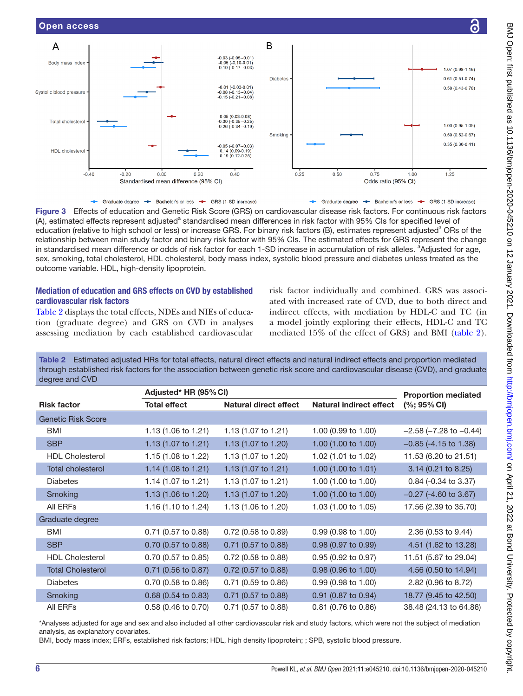

<span id="page-6-0"></span>- Graduate degree - Bachelor's or less - GRS (1-SD increase) - Graduate degree - Bachelor's or less - GRS (1-SD increase) Figure 3 Effects of education and Genetic Risk Score (GRS) on cardiovascular disease risk factors. For continuous risk factors (A), estimated effects represent adjusted<sup>a</sup> standardised mean differences in risk factor with 95% CIs for specified level of education (relative to high school or less) or increase GRS. For binary risk factors (B), estimates represent adjusted<sup>a</sup> ORs of the relationship between main study factor and binary risk factor with 95% CIs. The estimated effects for GRS represent the change in standardised mean difference or odds of risk factor for each 1-SD increase in accumulation of risk alleles. <sup>a</sup>Adjusted for age, sex, smoking, total cholesterol, HDL cholesterol, body mass index, systolic blood pressure and diabetes unless treated as the outcome variable. HDL, high-density lipoprotein.

## Mediation of education and GRS effects on CVD by established cardiovascular risk factors

[Table](#page-6-1) 2 displays the total effects, NDEs and NIEs of education (graduate degree) and GRS on CVD in analyses assessing mediation by each established cardiovascular risk factor individually and combined. GRS was associated with increased rate of CVD, due to both direct and indirect effects, with mediation by HDL-C and TC (in a model jointly exploring their effects, HDL-C and TC mediated 15% of the effect of GRS) and BMI ([table](#page-6-1) 2).

<span id="page-6-1"></span>Table 2 Estimated adjusted HRs for total effects, natural direct effects and natural indirect effects and proportion mediated through established risk factors for the association between genetic risk score and cardiovascular disease (CVD), and graduate degree and CVD

|                           | Adjusted* HR (95% CI) |                                |                                | <b>Proportion mediated</b>     |  |
|---------------------------|-----------------------|--------------------------------|--------------------------------|--------------------------------|--|
| <b>Risk factor</b>        | <b>Total effect</b>   | <b>Natural direct effect</b>   | <b>Natural indirect effect</b> | $(\%; 95\% \, \text{Cl})$      |  |
| <b>Genetic Risk Score</b> |                       |                                |                                |                                |  |
| BMI                       | 1.13 (1.06 to 1.21)   | 1.13 (1.07 to 1.21)            | 1.00 (0.99 to 1.00)            | $-2.58$ ( $-7.28$ to $-0.44$ ) |  |
| <b>SBP</b>                | 1.13 (1.07 to 1.21)   | 1.13 $(1.07 \text{ to } 1.20)$ | 1.00 (1.00 to 1.00)            | $-0.85$ (-4.15 to 1.38)        |  |
| <b>HDL Cholesterol</b>    | 1.15 (1.08 to 1.22)   | 1.13 (1.07 to 1.20)            | 1.02 (1.01 to 1.02)            | 11.53 (6.20 to 21.51)          |  |
| <b>Total cholesterol</b>  | 1.14 (1.08 to 1.21)   | 1.13 (1.07 to 1.21)            | 1.00 (1.00 to 1.01)            | 3.14 (0.21 to 8.25)            |  |
| <b>Diabetes</b>           | 1.14 (1.07 to 1.21)   | 1.13 (1.07 to 1.21)            | 1.00 (1.00 to 1.00)            | 0.84 (-0.34 to 3.37)           |  |
| Smoking                   | 1.13 (1.06 to 1.20)   | 1.13 (1.07 to 1.20)            | 1.00 (1.00 to 1.00)            | $-0.27$ (-4.60 to 3.67)        |  |
| All ERFs                  | 1.16 (1.10 to 1.24)   | 1.13 (1.06 to 1.20)            | 1.03 (1.00 to 1.05)            | 17.56 (2.39 to 35.70)          |  |
| Graduate degree           |                       |                                |                                |                                |  |
| BMI                       | 0.71 (0.57 to 0.88)   | 0.72 (0.58 to 0.89)            | 0.99 (0.98 to 1.00)            | 2.36 (0.53 to 9.44)            |  |
| <b>SBP</b>                | 0.70 (0.57 to 0.88)   | $0.71$ (0.57 to 0.88)          | $0.98$ (0.97 to 0.99)          | 4.51 (1.62 to 13.28)           |  |
| <b>HDL Cholesterol</b>    | 0.70 (0.57 to 0.85)   | 0.72 (0.58 to 0.88)            | 0.95 (0.92 to 0.97)            | 11.51 (5.67 to 29.04)          |  |
| <b>Total Cholesterol</b>  | 0.71 (0.56 to 0.87)   | 0.72 (0.57 to 0.88)            | 0.98 (0.96 to 1.00)            | 4.56 (0.50 to 14.94)           |  |
| <b>Diabetes</b>           | 0.70 (0.58 to 0.86)   | 0.71 (0.59 to 0.86)            | 0.99 (0.98 to 1.00)            | 2.82 (0.96 to 8.72)            |  |
| Smoking                   | 0.68 (0.54 to 0.83)   | $0.71$ (0.57 to 0.88)          | 0.91 (0.87 to 0.94)            | 18.77 (9.45 to 42.50)          |  |
| All ERFs                  | 0.58 (0.46 to 0.70)   | 0.71 (0.57 to 0.88)            | 0.81 (0.76 to 0.86)            | 38.48 (24.13 to 64.86)         |  |

\*Analyses adjusted for age and sex and also included all other cardiovascular risk and study factors, which were not the subject of mediation analysis, as explanatory covariates.

BMI, body mass index; ERFs, established risk factors; HDL, high density lipoprotein; ; SPB, systolic blood pressure.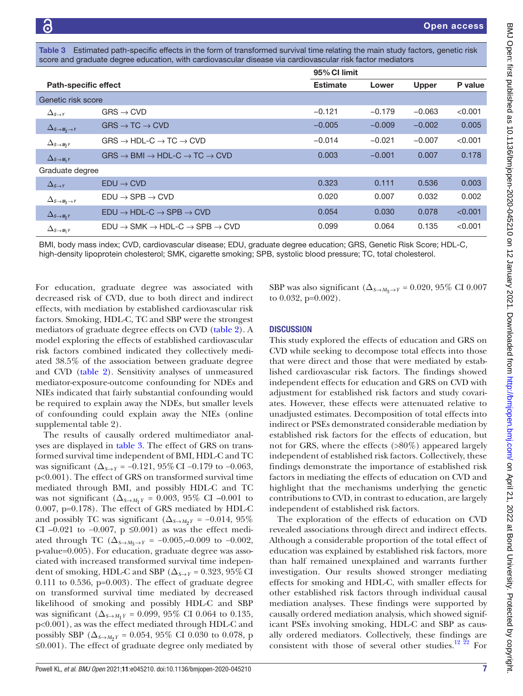<span id="page-7-0"></span>Estimated path-specific effects in the form of transformed survival time relating the main study factors, genetic risk score and graduate degree education, with cardiovascular disease via cardiovascular risk factor mediators

|                                          |                                                                              |                 | 95% CI limit |              |         |
|------------------------------------------|------------------------------------------------------------------------------|-----------------|--------------|--------------|---------|
| <b>Path-specific effect</b>              |                                                                              | <b>Estimate</b> | Lower        | <b>Upper</b> | P value |
| Genetic risk score                       |                                                                              |                 |              |              |         |
| $\Delta_{S\rightarrow Y}$                | $GRS \rightarrow CVD$                                                        | $-0.121$        | $-0.179$     | $-0.063$     | < 0.001 |
| $\Delta_{S\rightarrow M_3\rightarrow Y}$ | $GRS \rightarrow TC \rightarrow CVD$                                         | $-0.005$        | $-0.009$     | $-0.002$     | 0.005   |
| $\Delta_{S\rightarrow M_2Y}$             | $GRS \rightarrow HDL-C \rightarrow TC \rightarrow CVD$                       | $-0.014$        | $-0.021$     | $-0.007$     | < 0.001 |
| $\Delta_{S\rightarrow M_1}$ Y            | $GRS \rightarrow$ BMI $\rightarrow$ HDL-C $\rightarrow$ TC $\rightarrow$ CVD | 0.003           | $-0.001$     | 0.007        | 0.178   |
| Graduate degree                          |                                                                              |                 |              |              |         |
| $\Delta_{S\rightarrow Y}$                | $EDU \rightarrow CVD$                                                        | 0.323           | 0.111        | 0.536        | 0.003   |
| $\Delta_{S\rightarrow M_2\rightarrow Y}$ | $EDU \rightarrow SPB \rightarrow CVD$                                        | 0.020           | 0.007        | 0.032        | 0.002   |
| $\Delta_{S\rightarrow M_2Y}$             | $EDU \rightarrow HDL-C \rightarrow SPB \rightarrow CVD$                      | 0.054           | 0.030        | 0.078        | < 0.001 |
| $\Delta_{S\rightarrow M_1}$ Y            | $FDU \rightarrow SMK \rightarrow HDI - C \rightarrow SPB \rightarrow CVD$    | 0.099           | 0.064        | 0.135        | < 0.001 |

BMI, body mass index; CVD, cardiovascular disease; EDU, graduate degree education; GRS, Genetic Risk Score; HDL-C, high-density lipoprotein cholesterol; SMK, cigarette smoking; SPB, systolic blood pressure; TC, total cholesterol.

For education, graduate degree was associated with decreased risk of CVD, due to both direct and indirect effects, with mediation by established cardiovascular risk factors. Smoking, HDL-C, TC and SBP were the strongest mediators of graduate degree effects on CVD [\(table](#page-6-1) 2). A model exploring the effects of established cardiovascular risk factors combined indicated they collectively mediated 38.5% of the association between graduate degree and CVD [\(table](#page-6-1) 2). Sensitivity analyses of unmeasured mediator-exposure-outcome confounding for NDEs and NIEs indicated that fairly substantial confounding would be required to explain away the NDEs, but smaller levels of confounding could explain away the NIEs [\(online](https://dx.doi.org/10.1136/bmjopen-2020-045210) [supplemental table 2](https://dx.doi.org/10.1136/bmjopen-2020-045210)).

The results of causally ordered multimediator analyses are displayed in [table](#page-7-0) 3. The effect of GRS on transformed survival time independent of BMI, HDL-C and TC was significant ( $\Delta_{S\rightarrow Y}$  = −0.121, 95% CI −0.179 to −0.063, p<0.001). The effect of GRS on transformed survival time mediated through BMI, and possibly HDL-C and TC was not significant ( $\Delta_{S \to M_1Y} = 0.003$ , 95% CI –0.001 to 0.007, p=0.178). The effect of GRS mediated by HDL-C and possibly TC was significant ( $\Delta_{S\rightarrow M_2Y}$  = −0.014, 95% CI –0.021 to –0.007, p ≤0.001) as was the effect mediated through TC ( $\Delta_{S \to M_3 \to Y}$  = -0.005,–0.009 to -0.002, p-value=0.005). For education, graduate degree was associated with increased transformed survival time independent of smoking, HDL-C and SBP ( $\Delta_{S\rightarrow Y}$  = 0.323, 95% CI  $0.111$  to  $0.536$ ,  $p=0.003$ ). The effect of graduate degree on transformed survival time mediated by decreased likelihood of smoking and possibly HDL-C and SBP was significant (∆*<sup>S</sup>→M*1*<sup>Y</sup>* = 0.099, 95% CI 0.064 to 0.135, p<0.001), as was the effect mediated through HDL-C and possibly SBP ( $\Delta_{S\rightarrow M_2Y}$  = 0.054, 95% CI 0.030 to 0.078, p ≤0.001). The effect of graduate degree only mediated by

SBP was also significant ( $\Delta_{S\rightarrow M_2\rightarrow Y}$  = 0.020, 95% CI 0.007 to  $0.032$ ,  $p=0.002$ ).

## **DISCUSSION**

This study explored the effects of education and GRS on CVD while seeking to decompose total effects into those that were direct and those that were mediated by established cardiovascular risk factors. The findings showed independent effects for education and GRS on CVD with adjustment for established risk factors and study covariates. However, these effects were attenuated relative to unadjusted estimates. Decomposition of total effects into indirect or PSEs demonstrated considerable mediation by established risk factors for the effects of education, but not for GRS, where the effects (>80%) appeared largely independent of established risk factors. Collectively, these findings demonstrate the importance of established risk factors in mediating the effects of education on CVD and highlight that the mechanisms underlying the genetic contributions to CVD, in contrast to education, are largely independent of established risk factors.

The exploration of the effects of education on CVD revealed associations through direct and indirect effects. Although a considerable proportion of the total effect of education was explained by established risk factors, more than half remained unexplained and warrants further investigation. Our results showed stronger mediating effects for smoking and HDL-C, with smaller effects for other established risk factors through individual causal mediation analyses. These findings were supported by causally ordered mediation analysis, which showed significant PSEs involving smoking, HDL-C and SBP as causally ordered mediators. Collectively, these findings are consistent with those of several other studies.<sup>12 22</sup> For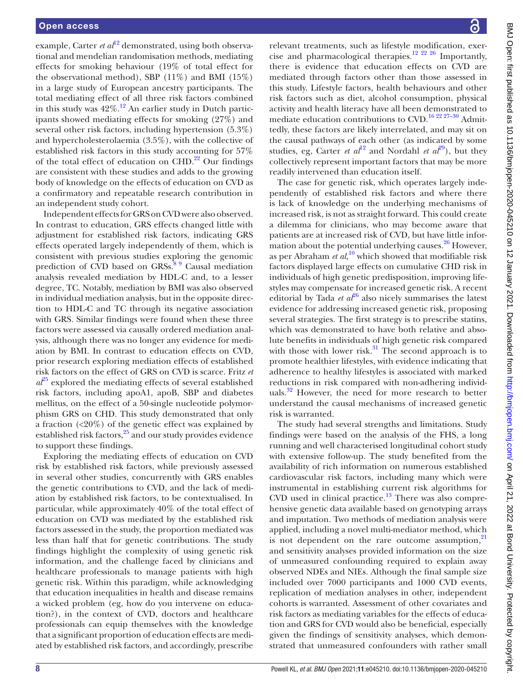example, Carter *et al*<sup>[12](#page-9-10)</sup> demonstrated, using both observational and mendelian randomisation methods, mediating effects for smoking behaviour (19% of total effect for the observational method), SBP  $(11\%)$  and BMI  $(15\%)$ in a large study of European ancestry participants. The total mediating effect of all three risk factors combined in this study was  $42\%$ .<sup>12</sup> An earlier study in Dutch participants showed mediating effects for smoking (27%) and several other risk factors, including hypertension (5.3%) and hypercholesterolaemia (3.5%), with the collective of established risk factors in this study accounting for 57% of the total effect of education on  $CHD<sup>22</sup>$  Our findings are consistent with these studies and adds to the growing body of knowledge on the effects of education on CVD as a confirmatory and repeatable research contribution in an independent study cohort.

Independent effects for GRS on CVD were also observed. In contrast to education, GRS effects changed little with adjustment for established risk factors, indicating GRS effects operated largely independently of them, which is consistent with previous studies exploring the genomic prediction of CVD based on  $GRSs$ <sup>[8 9](#page-9-7)</sup> Causal mediation analysis revealed mediation by HDL-C and, to a lesser degree, TC. Notably, mediation by BMI was also observed in individual mediation analysis, but in the opposite direction to HDL-C and TC through its negative association with GRS. Similar findings were found when these three factors were assessed via causally ordered mediation analysis, although there was no longer any evidence for mediation by BMI. In contrast to education effects on CVD, prior research exploring mediation effects of established risk factors on the effect of GRS on CVD is scarce. Fritz *et*   $a\ddot{\ell}^5$  explored the mediating effects of several established risk factors, including apoA1, apoB, SBP and diabetes mellitus, on the effect of a 50-single nucleotide polymorphism GRS on CHD. This study demonstrated that only a fraction (<20%) of the genetic effect was explained by established risk factors, $25$  and our study provides evidence to support these findings.

Exploring the mediating effects of education on CVD risk by established risk factors, while previously assessed in several other studies, concurrently with GRS enables the genetic contributions to CVD, and the lack of mediation by established risk factors, to be contextualised. In particular, while approximately 40% of the total effect of education on CVD was mediated by the established risk factors assessed in the study, the proportion mediated was less than half that for genetic contributions. The study findings highlight the complexity of using genetic risk information, and the challenge faced by clinicians and healthcare professionals to manage patients with high genetic risk. Within this paradigm, while acknowledging that education inequalities in health and disease remains a wicked problem (eg, how do you intervene on education?), in the context of CVD, doctors and healthcare professionals can equip themselves with the knowledge that a significant proportion of education effects are mediated by established risk factors, and accordingly, prescribe

relevant treatments, such as lifestyle modification, exercise and pharmacological therapies.<sup>12 22 26</sup> Importantly, there is evidence that education effects on CVD are mediated through factors other than those assessed in this study. Lifestyle factors, health behaviours and other risk factors such as diet, alcohol consumption, physical activity and health literacy have all been demonstrated to mediate education contributions to CVD.<sup>16 22 27-30</sup> Admittedly, these factors are likely interrelated, and may sit on the causal pathways of each other (as indicated by some studies, eg, Carter *et al*<sup>12</sup> and Nordahl *et al*<sup>29</sup>), but they collectively represent important factors that may be more readily intervened than education itself.

The case for genetic risk, which operates largely independently of established risk factors and where there is lack of knowledge on the underlying mechanisms of increased risk, is not as straight forward. This could create a dilemma for clinicians, who may become aware that patients are at increased risk of CVD, but have little information about the potential underlying causes.  $26$  However, as per Abraham *et al*,<sup>[10](#page-9-16)</sup> which showed that modifiable risk factors displayed large effects on cumulative CHD risk in individuals of high genetic predisposition, improving lifestyles may compensate for increased genetic risk. A recent editorial by Tada *et al*<sup>26</sup> also nicely summarises the latest evidence for addressing increased genetic risk, proposing several strategies. The first strategy is to prescribe statins, which was demonstrated to have both relative and absolute benefits in individuals of high genetic risk compared with those with lower risk. $31$  The second approach is to promote healthier lifestyles, with evidence indicating that adherence to healthy lifestyles is associated with marked reductions in risk compared with non-adhering individuals.<sup>32</sup> However, the need for more research to better understand the causal mechanisms of increased genetic risk is warranted.

The study had several strengths and limitations. Study findings were based on the analysis of the FHS, a long running and well characterised longitudinal cohort study with extensive follow-up. The study benefited from the availability of rich information on numerous established cardiovascular risk factors, including many which were instrumental in establishing current risk algorithms for CVD used in clinical practice. $13$  There was also comprehensive genetic data available based on genotyping arrays and imputation. Two methods of mediation analysis were applied, including a novel multi-mediator method, which is not dependent on the rare outcome assumption, $21$ and sensitivity analyses provided information on the size of unmeasured confounding required to explain away observed NDEs and NIEs. Although the final sample size included over 7000 participants and 1000 CVD events, replication of mediation analyses in other, independent cohorts is warranted. Assessment of other covariates and risk factors as mediating variables for the effects of education and GRS for CVD would also be beneficial, especially given the findings of sensitivity analyses, which demonstrated that unmeasured confounders with rather small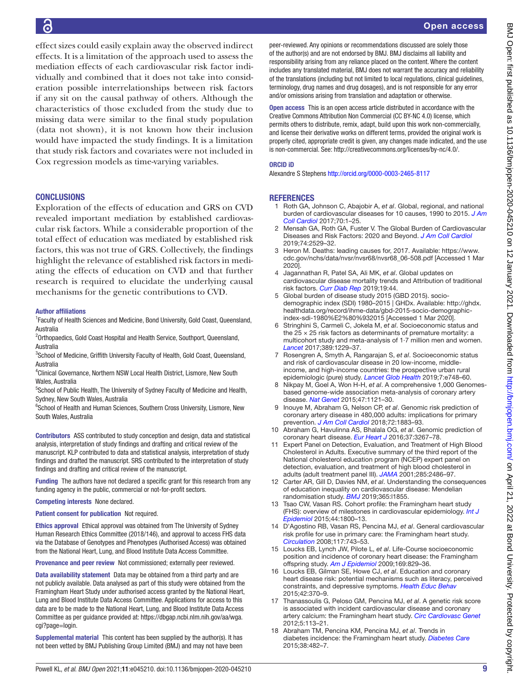effect sizes could easily explain away the observed indirect effects. It is a limitation of the approach used to assess the mediation effects of each cardiovascular risk factor individually and combined that it does not take into consideration possible interrelationships between risk factors if any sit on the causal pathway of others. Although the characteristics of those excluded from the study due to missing data were similar to the final study population (data not shown), it is not known how their inclusion would have impacted the study findings. It is a limitation that study risk factors and covariates were not included in Cox regression models as time-varying variables.

## **CONCLUSIONS**

Exploration of the effects of education and GRS on CVD revealed important mediation by established cardiovascular risk factors. While a considerable proportion of the total effect of education was mediated by established risk factors, this was not true of GRS. Collectively, the findings highlight the relevance of established risk factors in mediating the effects of education on CVD and that further research is required to elucidate the underlying causal mechanisms for the genetic contributions to CVD.

#### Author affiliations

<sup>1</sup> Faculty of Health Sciences and Medicine, Bond University, Gold Coast, Queensland, Australia

<sup>2</sup>Orthopaedics, Gold Coast Hospital and Health Service, Southport, Queensland, Australia

<sup>3</sup>School of Medicine, Griffith University Faculty of Health, Gold Coast, Queensland, Australia

4 Clinical Governance, Northern NSW Local Health District, Lismore, New South Wales, Australia

<sup>5</sup>School of Public Health, The University of Sydney Faculty of Medicine and Health, Sydney, New South Wales, Australia

<sup>6</sup>School of Health and Human Sciences, Southern Cross University, Lismore, New South Wales, Australia

Contributors ASS contributed to study conception and design, data and statistical analysis, interpretation of study findings and drafting and critical review of the manuscript. KLP contributed to data and statistical analysis, interpretation of study findings and drafted the manuscript. SRS contributed to the interpretation of study findings and drafting and critical review of the manuscript.

Funding The authors have not declared a specific grant for this research from any funding agency in the public, commercial or not-for-profit sectors.

#### Competing interests None declared.

Patient consent for publication Not required.

Ethics approval Ethical approval was obtained from The University of Sydney Human Research Ethics Committee (2018/146), and approval to access FHS data via the Database of Genotypes and Phenotypes (Authorised Access) was obtained from the National Heart, Lung, and Blood Institute Data Access Committee.

Provenance and peer review Not commissioned; externally peer reviewed.

Data availability statement Data may be obtained from a third party and are not publicly available. Data analysed as part of this study were obtained from the Framingham Heart Study under authorised access granted by the National Heart, Lung and Blood Institute Data Access Committee. Applications for access to this data are to be made to the National Heart, Lung, and Blood Institute Data Access Committee as per guidance provided at: [https://dbgap.ncbi.nlm.nih.gov/aa/wga.](https://dbgap.ncbi.nlm.nih.gov/aa/wga.cgi?page=login) [cgi?page=login](https://dbgap.ncbi.nlm.nih.gov/aa/wga.cgi?page=login).

Supplemental material This content has been supplied by the author(s). It has not been vetted by BMJ Publishing Group Limited (BMJ) and may not have been

peer-reviewed. Any opinions or recommendations discussed are solely those of the author(s) and are not endorsed by BMJ. BMJ disclaims all liability and responsibility arising from any reliance placed on the content. Where the content includes any translated material, BMJ does not warrant the accuracy and reliability of the translations (including but not limited to local regulations, clinical guidelines, terminology, drug names and drug dosages), and is not responsible for any error and/or omissions arising from translation and adaptation or otherwise.

Open access This is an open access article distributed in accordance with the Creative Commons Attribution Non Commercial (CC BY-NC 4.0) license, which permits others to distribute, remix, adapt, build upon this work non-commercially, and license their derivative works on different terms, provided the original work is properly cited, appropriate credit is given, any changes made indicated, and the use is non-commercial. See: [http://creativecommons.org/licenses/by-nc/4.0/.](http://creativecommons.org/licenses/by-nc/4.0/)

#### ORCID iD

Alexandre S Stephens <http://orcid.org/0000-0003-2465-8117>

#### **REFERENCES**

- <span id="page-9-0"></span>1 Roth GA, Johnson C, Abajobir A, *et al*. Global, regional, and national burden of cardiovascular diseases for 10 causes, 1990 to 2015. *[J Am](http://dx.doi.org/10.1016/j.jacc.2017.04.052)  [Coll Cardiol](http://dx.doi.org/10.1016/j.jacc.2017.04.052)* 2017;70:1–25.
- <span id="page-9-1"></span>2 Mensah GA, Roth GA, Fuster V. The Global Burden of Cardiovascular Diseases and Risk Factors: 2020 and Beyond. *[J Am Coll Cardiol](http://dx.doi.org/10.1016/j.jacc.2019.10.009)* 2019;74:2529–32.
- <span id="page-9-2"></span>3 Heron M. Deaths: leading causes for, 2017. Available: [https://www.](https://www.cdc.gov/nchs/data/nvsr/nvsr68/nvsr68_06-508.pdf) [cdc.gov/nchs/data/nvsr/nvsr68/nvsr68\\_06-508.pdf](https://www.cdc.gov/nchs/data/nvsr/nvsr68/nvsr68_06-508.pdf) [Accessed 1 Mar 2020].
- <span id="page-9-3"></span>4 Jagannathan R, Patel SA, Ali MK, *et al*. Global updates on cardiovascular disease mortality trends and Attribution of traditional risk factors. *[Curr Diab Rep](http://dx.doi.org/10.1007/s11892-019-1161-2)* 2019;19:44.
- <span id="page-9-4"></span>5 Global burden of disease study 2015 (GBD 2015). sociodemographic index (SDI) 1980–2015 | GHDx. Available: [http://ghdx.](http://ghdx.healthdata.org/record/ihme-data/gbd-2015-socio-demographic-index-sdi-1980%E2%80%932015) [healthdata.org/record/ihme-data/gbd-2015-socio-demographic](http://ghdx.healthdata.org/record/ihme-data/gbd-2015-socio-demographic-index-sdi-1980%E2%80%932015)[index-sdi-1980%E2%80%932015](http://ghdx.healthdata.org/record/ihme-data/gbd-2015-socio-demographic-index-sdi-1980%E2%80%932015) [Accessed 1 Mar 2020].
- <span id="page-9-5"></span>6 Stringhini S, Carmeli C, Jokela M, *et al*. Socioeconomic status and the  $25 \times 25$  risk factors as determinants of premature mortality: a multicohort study and meta-analysis of 1·7 million men and women. *[Lancet](http://dx.doi.org/10.1016/S0140-6736(16)32380-7)* 2017;389:1229–37.
- <span id="page-9-6"></span>7 Rosengren A, Smyth A, Rangarajan S, *et al*. Socioeconomic status and risk of cardiovascular disease in 20 low-income, middleincome, and high-income countries: the prospective urban rural epidemiologic (pure) study. *[Lancet Glob Health](http://dx.doi.org/10.1016/S2214-109X(19)30045-2)* 2019;7:e748–60.
- <span id="page-9-7"></span>Nikpay M, Goel A, Won H-H, et al. A comprehensive 1,000 Genomesbased genome-wide association meta-analysis of coronary artery disease. *[Nat Genet](http://dx.doi.org/10.1038/ng.3396)* 2015;47:1121–30.
- <span id="page-9-8"></span>9 Inouye M, Abraham G, Nelson CP, *et al*. Genomic risk prediction of coronary artery disease in 480,000 adults: implications for primary prevention. *[J Am Coll Cardiol](http://dx.doi.org/10.1016/j.jacc.2018.07.079)* 2018;72:1883–93.
- <span id="page-9-16"></span>10 Abraham G, Havulinna AS, Bhalala OG, *et al*. Genomic prediction of coronary heart disease. *[Eur Heart J](http://dx.doi.org/10.1093/eurheartj/ehw450)* 2016;37:3267–78.
- <span id="page-9-9"></span>11 Expert Panel on Detection, Evaluation, and Treatment of High Blood Cholesterol in Adults. Executive summary of the third report of the National cholesterol education program (NCEP) expert panel on detection, evaluation, and treatment of high blood cholesterol in adults (adult treatment panel III). *[JAMA](http://dx.doi.org/10.1001/jama.285.19.2486)* 2001;285:2486–97.
- <span id="page-9-10"></span>12 Carter AR, Gill D, Davies NM, *et al*. Understanding the consequences of education inequality on cardiovascular disease: Mendelian randomisation study. *[BMJ](http://dx.doi.org/10.1136/bmj.l1855)* 2019;365:l1855.
- <span id="page-9-11"></span>13 Tsao CW, Vasan RS. Cohort profile: the Framingham heart study (FHS): overview of milestones in cardiovascular epidemiology. *[Int J](http://dx.doi.org/10.1093/ije/dyv337)  [Epidemiol](http://dx.doi.org/10.1093/ije/dyv337)* 2015;44:1800–13.
- <span id="page-9-12"></span>14 D'Agostino RB, Vasan RS, Pencina MJ, *et al*. General cardiovascular risk profile for use in primary care: the Framingham heart study. *[Circulation](http://dx.doi.org/10.1161/CIRCULATIONAHA.107.699579)* 2008;117:743–53.
- <span id="page-9-13"></span>15 Loucks EB, Lynch JW, Pilote L, *et al*. Life-Course socioeconomic position and incidence of coronary heart disease: the Framingham offspring study. *[Am J Epidemiol](http://dx.doi.org/10.1093/aje/kwn403)* 2009;169:829–36.
- <span id="page-9-15"></span>16 Loucks EB, Gilman SE, Howe CJ, *et al*. Education and coronary heart disease risk: potential mechanisms such as literacy, perceived constraints, and depressive symptoms. *[Health Educ Behav](http://dx.doi.org/10.1177/1090198114560020)* 2015;42:370–9.
- 17 Thanassoulis G, Peloso GM, Pencina MJ, *et al*. A genetic risk score is associated with incident cardiovascular disease and coronary artery calcium: the Framingham heart study. *[Circ Cardiovasc Genet](http://dx.doi.org/10.1161/CIRCGENETICS.111.961342)* 2012;5:113–21.
- <span id="page-9-14"></span>18 Abraham TM, Pencina KM, Pencina MJ, *et al*. Trends in diabetes incidence: the Framingham heart study. *[Diabetes Care](http://dx.doi.org/10.2337/dc14-1432)* 2015;38:482–7.